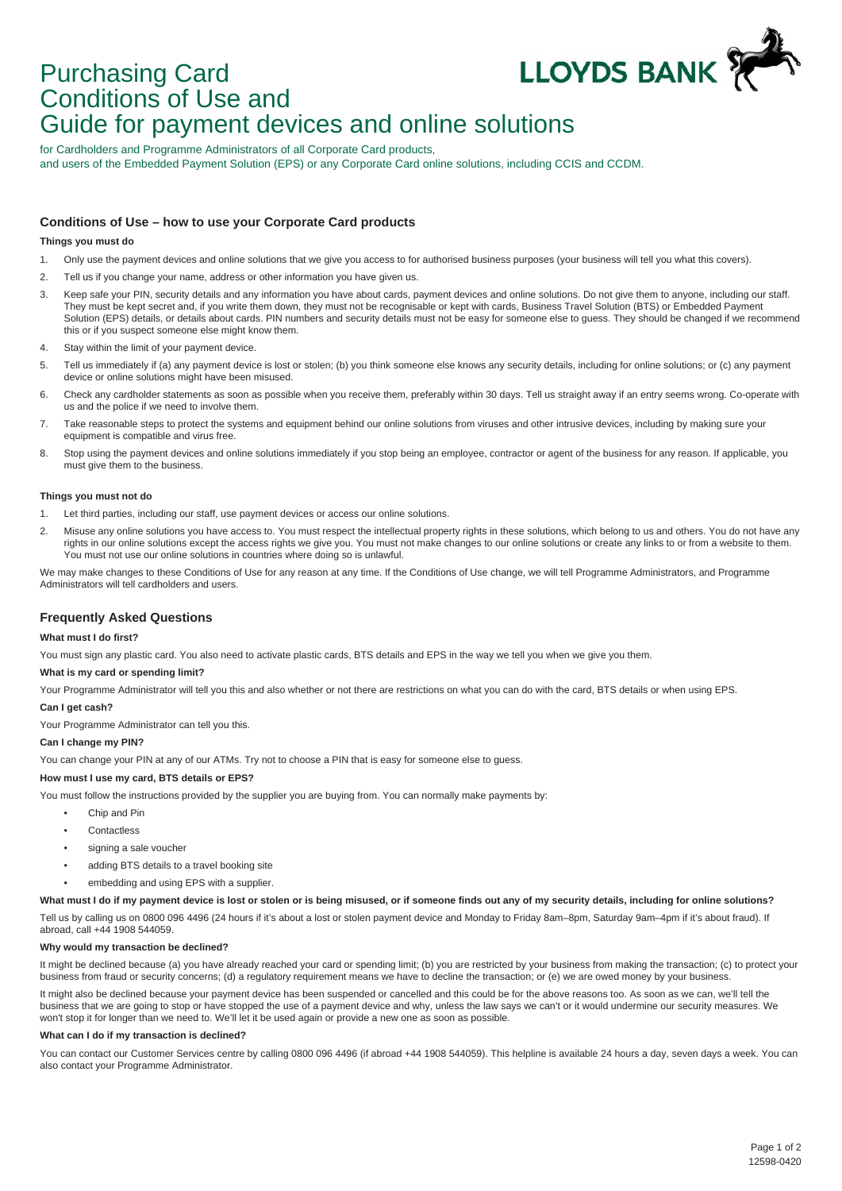

# Purchasing Card Conditions of Use and Guide for payment devices and online solutions

for Cardholders and Programme Administrators of all Corporate Card products, and users of the Embedded Payment Solution (EPS) or any Corporate Card online solutions, including CCIS and CCDM.

# **Conditions of Use – how to use your Corporate Card products**

## **Things you must do**

- 1. Only use the payment devices and online solutions that we give you access to for authorised business purposes (your business will tell you what this covers).
- 2. Tell us if you change your name, address or other information you have given us.
- 3. Keep safe your PIN, security details and any information you have about cards, payment devices and online solutions. Do not give them to anyone, including our staff. They must be kept secret and, if you write them down, they must not be recognisable or kept with cards, Business Travel Solution (BTS) or Embedded Payment Solution (EPS) details, or details about cards. PIN numbers and security details must not be easy for someone else to guess. They should be changed if we recommend this or if you suspect someone else might know them.
- 4. Stay within the limit of your payment device.
- 5. Tell us immediately if (a) any payment device is lost or stolen; (b) you think someone else knows any security details, including for online solutions; or (c) any payment device or online solutions might have been misused.
- 6. Check any cardholder statements as soon as possible when you receive them, preferably within 30 days. Tell us straight away if an entry seems wrong. Co-operate with us and the police if we need to involve them.
- 7. Take reasonable steps to protect the systems and equipment behind our online solutions from viruses and other intrusive devices, including by making sure your equipment is compatible and virus free.
- 8. Stop using the payment devices and online solutions immediately if you stop being an employee, contractor or agent of the business for any reason. If applicable, you must give them to the business.

#### **Things you must not do**

- 1. Let third parties, including our staff, use payment devices or access our online solutions.
- 2. Misuse any online solutions you have access to. You must respect the intellectual property rights in these solutions, which belong to us and others. You do not have any rights in our online solutions except the access rights we give you. You must not make changes to our online solutions or create any links to or from a website to them. You must not use our online solutions in countries where doing so is unlawful.

We may make changes to these Conditions of Use for any reason at any time. If the Conditions of Use change, we will tell Programme Administrators, and Programme Administrators will tell cardholders and users.

# **Frequently Asked Questions**

### **What must I do first?**

You must sign any plastic card. You also need to activate plastic cards, BTS details and EPS in the way we tell you when we give you them.

#### **What is my card or spending limit?**

Your Programme Administrator will tell you this and also whether or not there are restrictions on what you can do with the card, BTS details or when using EPS.

#### **Can I get cash?**

Your Programme Administrator can tell you this.

# **Can I change my PIN?**

You can change your PIN at any of our ATMs. Try not to choose a PIN that is easy for someone else to guess.

# **How must I use my card, BTS details or EPS?**

You must follow the instructions provided by the supplier you are buying from. You can normally make payments by:

- Chip and Pin
- Contactless
- signing a sale voucher
- adding BTS details to a travel booking site
- embedding and using EPS with a supplier.

#### What must I do if my payment device is lost or stolen or is being misused, or if someone finds out any of my security details, including for online solutions?

Tell us by calling us on 0800 096 4496 (24 hours if it's about a lost or stolen payment device and Monday to Friday 8am–8pm, Saturday 9am–4pm if it's about fraud). If abroad, call +44 1908 544059.

#### **Why would my transaction be declined?**

It might be declined because (a) you have already reached your card or spending limit; (b) you are restricted by your business from making the transaction; (c) to protect your business from fraud or security concerns; (d) a regulatory requirement means we have to decline the transaction; or (e) we are owed money by your business.

It might also be declined because your payment device has been suspended or cancelled and this could be for the above reasons too. As soon as we can, we'll tell the business that we are going to stop or have stopped the use of a payment device and why, unless the law says we can't or it would undermine our security measures. We won't stop it for longer than we need to. We'll let it be used again or provide a new one as soon as possible.

#### **What can I do if my transaction is declined?**

You can contact our Customer Services centre by calling 0800 096 4496 (if abroad +44 1908 544059). This helpline is available 24 hours a day, seven days a week. You can also contact your Programme Administrator.